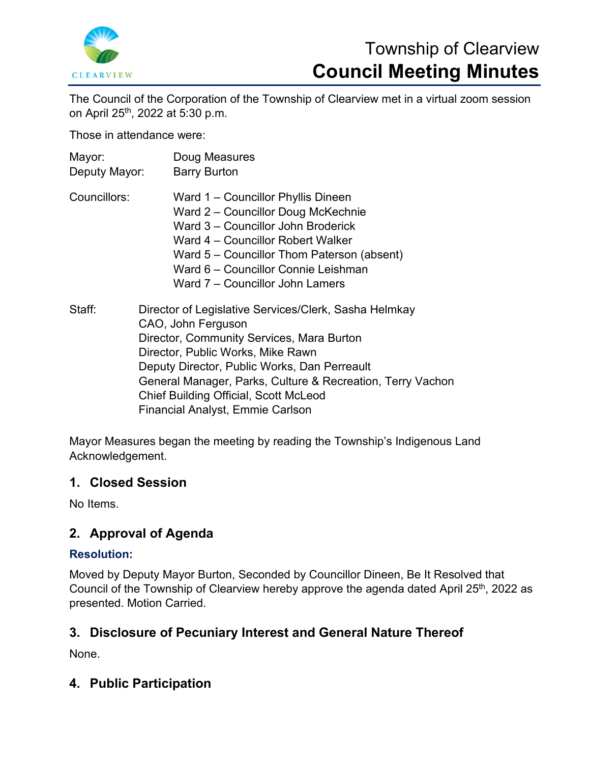

# Township of Clearview **Council Meeting Minutes**

The Council of the Corporation of the Township of Clearview met in a virtual zoom session on April 25th, 2022 at 5:30 p.m.

Those in attendance were:

| Mayor:<br>Deputy Mayor: | Doug Measures<br><b>Barry Burton</b>                                                                                                                                                                                                                                                                                                                                   |
|-------------------------|------------------------------------------------------------------------------------------------------------------------------------------------------------------------------------------------------------------------------------------------------------------------------------------------------------------------------------------------------------------------|
| Councillors:            | Ward 1 – Councillor Phyllis Dineen<br>Ward 2 - Councillor Doug McKechnie<br>Ward 3 – Councillor John Broderick<br>Ward 4 – Councillor Robert Walker<br>Ward 5 – Councillor Thom Paterson (absent)<br>Ward 6 – Councillor Connie Leishman<br>Ward 7 – Councillor John Lamers                                                                                            |
| Staff:                  | Director of Legislative Services/Clerk, Sasha Helmkay<br>CAO, John Ferguson<br>Director, Community Services, Mara Burton<br>Director, Public Works, Mike Rawn<br>Deputy Director, Public Works, Dan Perreault<br>General Manager, Parks, Culture & Recreation, Terry Vachon<br><b>Chief Building Official, Scott McLeod</b><br><b>Financial Analyst, Emmie Carlson</b> |

Mayor Measures began the meeting by reading the Township's Indigenous Land

Acknowledgement.

# **1. Closed Session**

No Items.

# **2. Approval of Agenda**

# **Resolution:**

Moved by Deputy Mayor Burton, Seconded by Councillor Dineen, Be It Resolved that Council of the Township of Clearview hereby approve the agenda dated April 25<sup>th</sup>, 2022 as presented. Motion Carried.

# **3. Disclosure of Pecuniary Interest and General Nature Thereof**

None.

# **4. Public Participation**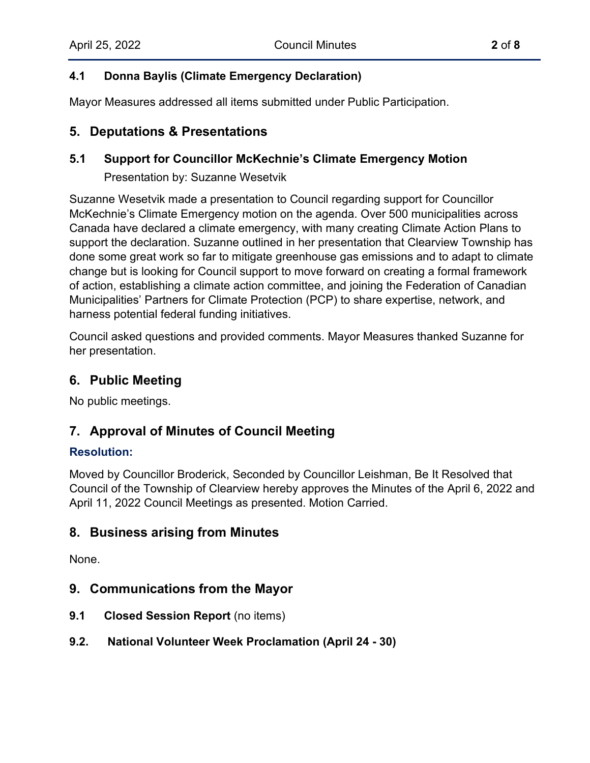# **4.1 Donna Baylis (Climate Emergency Declaration)**

Mayor Measures addressed all items submitted under Public Participation.

# **5. Deputations & Presentations**

### **5.1 Support for Councillor McKechnie's Climate Emergency Motion**

Presentation by: Suzanne Wesetvik

Suzanne Wesetvik made a presentation to Council regarding support for Councillor McKechnie's Climate Emergency motion on the agenda. Over 500 municipalities across Canada have declared a climate emergency, with many creating Climate Action Plans to support the declaration. Suzanne outlined in her presentation that Clearview Township has done some great work so far to mitigate greenhouse gas emissions and to adapt to climate change but is looking for Council support to move forward on creating a formal framework of action, establishing a climate action committee, and joining the Federation of Canadian Municipalities' Partners for Climate Protection (PCP) to share expertise, network, and harness potential federal funding initiatives.

Council asked questions and provided comments. Mayor Measures thanked Suzanne for her presentation.

# **6. Public Meeting**

No public meetings.

# **7. Approval of Minutes of Council Meeting**

### **Resolution:**

Moved by Councillor Broderick, Seconded by Councillor Leishman, Be It Resolved that Council of the Township of Clearview hereby approves the Minutes of the April 6, 2022 and April 11, 2022 Council Meetings as presented. Motion Carried.

# **8. Business arising from Minutes**

None.

# **9. Communications from the Mayor**

- **9.1 Closed Session Report** (no items)
- **9.2. National Volunteer Week Proclamation (April 24 - 30)**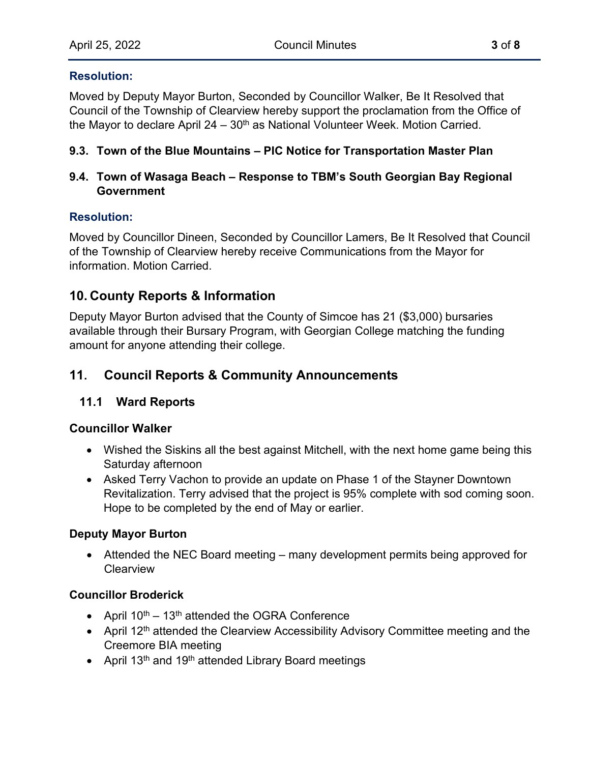#### **Resolution:**

Moved by Deputy Mayor Burton, Seconded by Councillor Walker, Be It Resolved that Council of the Township of Clearview hereby support the proclamation from the Office of the Mayor to declare April  $24 - 30<sup>th</sup>$  as National Volunteer Week. Motion Carried.

### **9.3. Town of the Blue Mountains – PIC Notice for Transportation Master Plan**

### **9.4. Town of Wasaga Beach – Response to TBM's South Georgian Bay Regional Government**

#### **Resolution:**

Moved by Councillor Dineen, Seconded by Councillor Lamers, Be It Resolved that Council of the Township of Clearview hereby receive Communications from the Mayor for information. Motion Carried.

# **10. County Reports & Information**

Deputy Mayor Burton advised that the County of Simcoe has 21 (\$3,000) bursaries available through their Bursary Program, with Georgian College matching the funding amount for anyone attending their college.

# **11. Council Reports & Community Announcements**

### **11.1 Ward Reports**

#### **Councillor Walker**

- Wished the Siskins all the best against Mitchell, with the next home game being this Saturday afternoon
- Asked Terry Vachon to provide an update on Phase 1 of the Stayner Downtown Revitalization. Terry advised that the project is 95% complete with sod coming soon. Hope to be completed by the end of May or earlier.

#### **Deputy Mayor Burton**

• Attended the NEC Board meeting – many development permits being approved for **Clearview** 

#### **Councillor Broderick**

- April  $10^{th}$   $13^{th}$  attended the OGRA Conference
- April 12<sup>th</sup> attended the Clearview Accessibility Advisory Committee meeting and the Creemore BIA meeting
- April 13<sup>th</sup> and 19<sup>th</sup> attended Library Board meetings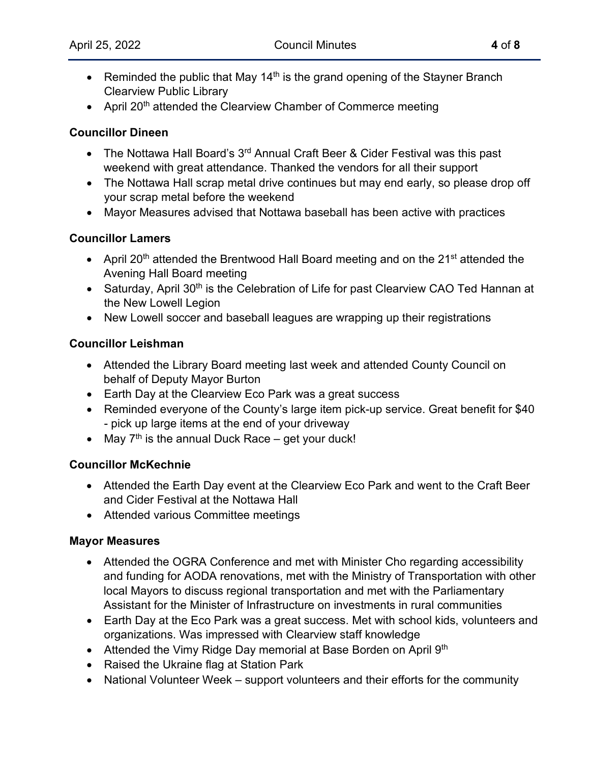- Reminded the public that May 14<sup>th</sup> is the grand opening of the Stayner Branch Clearview Public Library
- April 20<sup>th</sup> attended the Clearview Chamber of Commerce meeting

### **Councillor Dineen**

- The Nottawa Hall Board's  $3<sup>rd</sup>$  Annual Craft Beer & Cider Festival was this past weekend with great attendance. Thanked the vendors for all their support
- The Nottawa Hall scrap metal drive continues but may end early, so please drop off your scrap metal before the weekend
- Mayor Measures advised that Nottawa baseball has been active with practices

# **Councillor Lamers**

- April 20<sup>th</sup> attended the Brentwood Hall Board meeting and on the 21<sup>st</sup> attended the Avening Hall Board meeting
- Saturday, April 30<sup>th</sup> is the Celebration of Life for past Clearview CAO Ted Hannan at the New Lowell Legion
- New Lowell soccer and baseball leagues are wrapping up their registrations

# **Councillor Leishman**

- Attended the Library Board meeting last week and attended County Council on behalf of Deputy Mayor Burton
- Earth Day at the Clearview Eco Park was a great success
- Reminded everyone of the County's large item pick-up service. Great benefit for \$40 - pick up large items at the end of your driveway
- May  $7<sup>th</sup>$  is the annual Duck Race get your duck!

### **Councillor McKechnie**

- Attended the Earth Day event at the Clearview Eco Park and went to the Craft Beer and Cider Festival at the Nottawa Hall
- Attended various Committee meetings

### **Mayor Measures**

- Attended the OGRA Conference and met with Minister Cho regarding accessibility and funding for AODA renovations, met with the Ministry of Transportation with other local Mayors to discuss regional transportation and met with the Parliamentary Assistant for the Minister of Infrastructure on investments in rural communities
- Earth Day at the Eco Park was a great success. Met with school kids, volunteers and organizations. Was impressed with Clearview staff knowledge
- Attended the Vimy Ridge Day memorial at Base Borden on April 9<sup>th</sup>
- Raised the Ukraine flag at Station Park
- National Volunteer Week support volunteers and their efforts for the community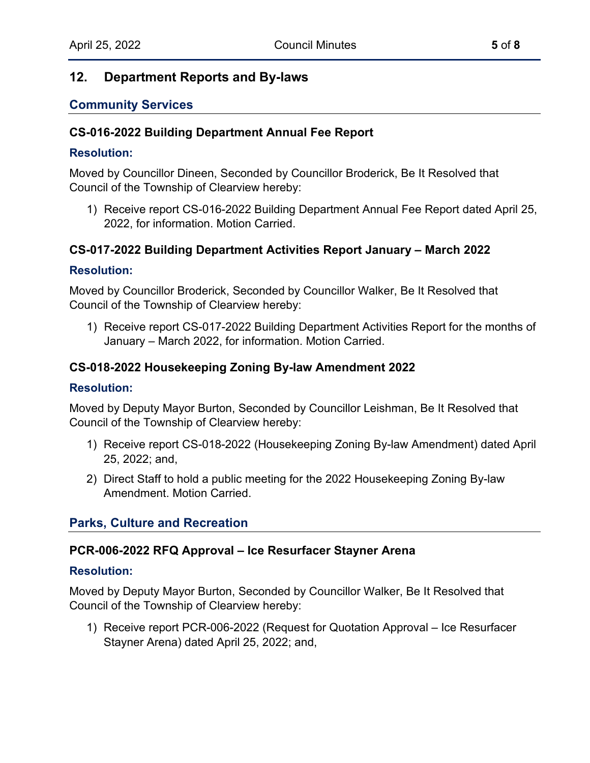# **12. Department Reports and By-laws**

### **Community Services**

#### **CS-016-2022 Building Department Annual Fee Report**

#### **Resolution:**

Moved by Councillor Dineen, Seconded by Councillor Broderick, Be It Resolved that Council of the Township of Clearview hereby:

1) Receive report CS-016-2022 Building Department Annual Fee Report dated April 25, 2022, for information. Motion Carried.

### **CS-017-2022 Building Department Activities Report January – March 2022**

#### **Resolution:**

Moved by Councillor Broderick, Seconded by Councillor Walker, Be It Resolved that Council of the Township of Clearview hereby:

1) Receive report CS-017-2022 Building Department Activities Report for the months of January – March 2022, for information. Motion Carried.

### **CS-018-2022 Housekeeping Zoning By-law Amendment 2022**

#### **Resolution:**

Moved by Deputy Mayor Burton, Seconded by Councillor Leishman, Be It Resolved that Council of the Township of Clearview hereby:

- 1) Receive report CS-018-2022 (Housekeeping Zoning By-law Amendment) dated April 25, 2022; and,
- 2) Direct Staff to hold a public meeting for the 2022 Housekeeping Zoning By-law Amendment. Motion Carried.

### **Parks, Culture and Recreation**

#### **PCR-006-2022 RFQ Approval – Ice Resurfacer Stayner Arena**

#### **Resolution:**

Moved by Deputy Mayor Burton, Seconded by Councillor Walker, Be It Resolved that Council of the Township of Clearview hereby:

1) Receive report PCR-006-2022 (Request for Quotation Approval – Ice Resurfacer Stayner Arena) dated April 25, 2022; and,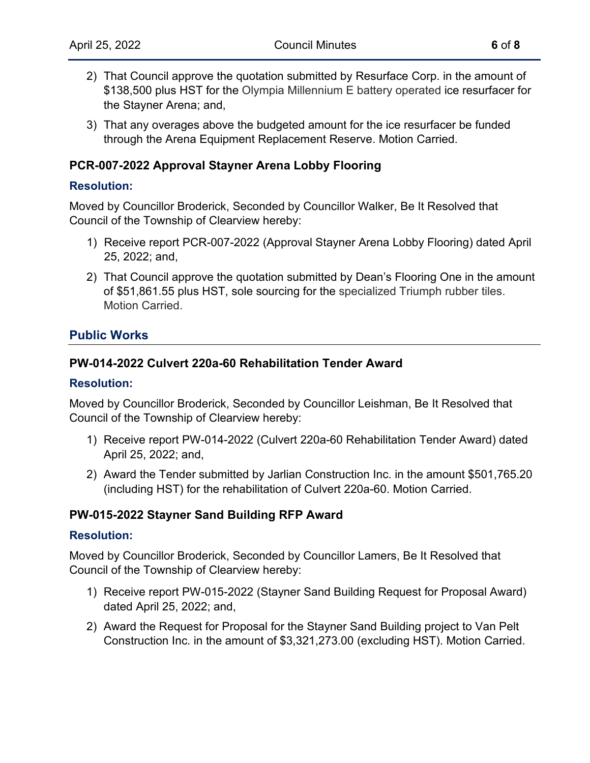- 2) That Council approve the quotation submitted by Resurface Corp. in the amount of \$138,500 plus HST for the Olympia Millennium E battery operated ice resurfacer for the Stayner Arena; and,
- 3) That any overages above the budgeted amount for the ice resurfacer be funded through the Arena Equipment Replacement Reserve. Motion Carried.

# **PCR-007-2022 Approval Stayner Arena Lobby Flooring**

#### **Resolution:**

Moved by Councillor Broderick, Seconded by Councillor Walker, Be It Resolved that Council of the Township of Clearview hereby:

- 1) Receive report PCR-007-2022 (Approval Stayner Arena Lobby Flooring) dated April 25, 2022; and,
- 2) That Council approve the quotation submitted by Dean's Flooring One in the amount of \$51,861.55 plus HST, sole sourcing for the specialized Triumph rubber tiles. Motion Carried.

# **Public Works**

### **PW-014-2022 Culvert 220a-60 Rehabilitation Tender Award**

#### **Resolution:**

Moved by Councillor Broderick, Seconded by Councillor Leishman, Be It Resolved that Council of the Township of Clearview hereby:

- 1) Receive report PW-014-2022 (Culvert 220a-60 Rehabilitation Tender Award) dated April 25, 2022; and,
- 2) Award the Tender submitted by Jarlian Construction Inc. in the amount \$501,765.20 (including HST) for the rehabilitation of Culvert 220a-60. Motion Carried.

### **PW-015-2022 Stayner Sand Building RFP Award**

#### **Resolution:**

Moved by Councillor Broderick, Seconded by Councillor Lamers, Be It Resolved that Council of the Township of Clearview hereby:

- 1) Receive report PW-015-2022 (Stayner Sand Building Request for Proposal Award) dated April 25, 2022; and,
- 2) Award the Request for Proposal for the Stayner Sand Building project to Van Pelt Construction Inc. in the amount of \$3,321,273.00 (excluding HST). Motion Carried.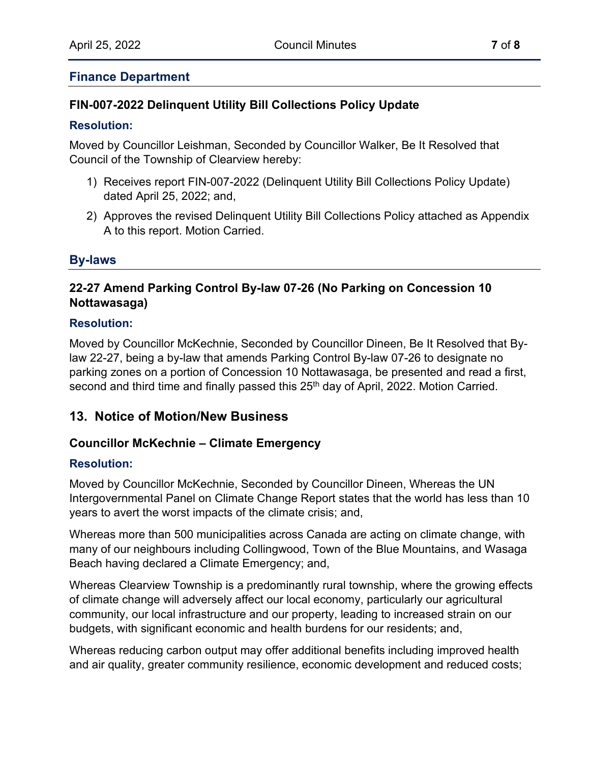### **Finance Department**

# **FIN-007-2022 Delinquent Utility Bill Collections Policy Update**

#### **Resolution:**

Moved by Councillor Leishman, Seconded by Councillor Walker, Be It Resolved that Council of the Township of Clearview hereby:

- 1) Receives report FIN-007-2022 (Delinquent Utility Bill Collections Policy Update) dated April 25, 2022; and,
- 2) Approves the revised Delinquent Utility Bill Collections Policy attached as Appendix A to this report. Motion Carried.

# **By-laws**

# **22-27 Amend Parking Control By-law 07-26 (No Parking on Concession 10 Nottawasaga)**

#### **Resolution:**

Moved by Councillor McKechnie, Seconded by Councillor Dineen, Be It Resolved that Bylaw 22-27, being a by-law that amends Parking Control By-law 07-26 to designate no parking zones on a portion of Concession 10 Nottawasaga, be presented and read a first, second and third time and finally passed this 25<sup>th</sup> day of April, 2022. Motion Carried.

# **13. Notice of Motion/New Business**

### **Councillor McKechnie – Climate Emergency**

### **Resolution:**

Moved by Councillor McKechnie, Seconded by Councillor Dineen, Whereas the UN Intergovernmental Panel on Climate Change Report states that the world has less than 10 years to avert the worst impacts of the climate crisis; and,

Whereas more than 500 municipalities across Canada are acting on climate change, with many of our neighbours including Collingwood, Town of the Blue Mountains, and Wasaga Beach having declared a Climate Emergency; and,

Whereas Clearview Township is a predominantly rural township, where the growing effects of climate change will adversely affect our local economy, particularly our agricultural community, our local infrastructure and our property, leading to increased strain on our budgets, with significant economic and health burdens for our residents; and,

Whereas reducing carbon output may offer additional benefits including improved health and air quality, greater community resilience, economic development and reduced costs;